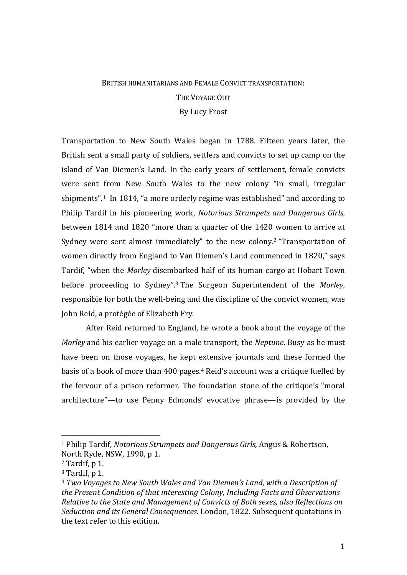## BRITISH HUMANITARIANS AND FEMALE CONVICT TRANSPORTATION. THE VOYAGE OUT By Lucy Frost

Transportation to New South Wales began in 1788. Fifteen years later, the British sent a small party of soldiers, settlers and convicts to set up camp on the island of Van Diemen's Land. In the early years of settlement, female convicts were sent from New South Wales to the new colony "in small, irregular shipments".<sup>1</sup> In 1814, "a more orderly regime was established" and according to Philip Tardif in his pioneering work, *Notorious Strumpets and Dangerous Girls,* between 1814 and 1820 "more than a quarter of the 1420 women to arrive at Sydney were sent almost immediately" to the new colony.<sup>2</sup> "Transportation of women directly from England to Van Diemen's Land commenced in 1820," says Tardif, "when the *Morley* disembarked half of its human cargo at Hobart Town before proceeding to Sydney".<sup>3</sup> The Surgeon Superintendent of the *Morley*, responsible for both the well-being and the discipline of the convict women, was John Reid, a protégée of Elizabeth Fry.

After Reid returned to England, he wrote a book about the voyage of the *Morley* and his earlier voyage on a male transport, the *Neptune*. Busy as he must have been on those voyages, he kept extensive journals and these formed the basis of a book of more than 400 pages.<sup>4</sup> Reid's account was a critique fuelled by the fervour of a prison reformer. The foundation stone of the critique's "moral architecture"—to use Penny Edmonds' evocative phrase—is provided by the

 

<sup>1</sup> Philip Tardif, *Notorious Strumpets and Dangerous Girls,* Angus & Robertson, North Ryde, NSW, 1990, p 1.

 $2$  Tardif, p 1.

 $3$  Tardif, p 1.

<sup>4</sup> *Two Voyages to New South Wales and Van Diemen's Land*, *with a Description of the Present Condition of that interesting Colony, Including Facts and Observations Relative to the State and Management of Convicts of Both sexes, also Reflections on Seduction and its General Consequences*. London, 1822. Subsequent quotations in the text refer to this edition.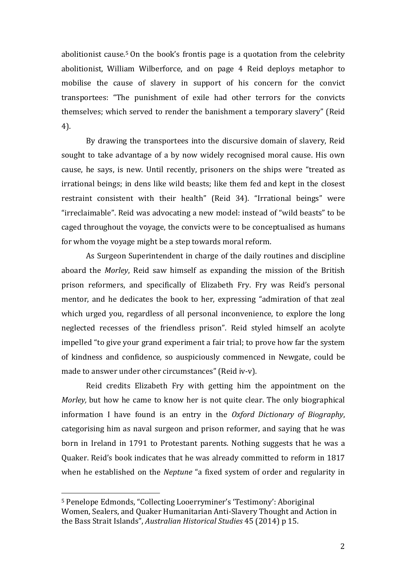abolitionist cause.<sup>5</sup> On the book's frontis page is a quotation from the celebrity abolitionist, William Wilberforce, and on page 4 Reid deploys metaphor to mobilise the cause of slavery in support of his concern for the convict transportees: "The punishment of exile had other terrors for the convicts themselves; which served to render the banishment a temporary slavery" (Reid 4). 

By drawing the transportees into the discursive domain of slavery, Reid sought to take advantage of a by now widely recognised moral cause. His own cause, he says, is new. Until recently, prisoners on the ships were "treated as irrational beings; in dens like wild beasts; like them fed and kept in the closest restraint consistent with their health" (Reid 34). "Irrational beings" were "irreclaimable". Reid was advocating a new model: instead of "wild beasts" to be caged throughout the voyage, the convicts were to be conceptualised as humans for whom the voyage might be a step towards moral reform.

As Surgeon Superintendent in charge of the daily routines and discipline aboard the *Morley*, Reid saw himself as expanding the mission of the British prison reformers, and specifically of Elizabeth Fry. Fry was Reid's personal mentor, and he dedicates the book to her, expressing "admiration of that zeal which urged you, regardless of all personal inconvenience, to explore the long neglected recesses of the friendless prison". Reid styled himself an acolyte impelled "to give your grand experiment a fair trial; to prove how far the system of kindness and confidence, so auspiciously commenced in Newgate, could be made to answer under other circumstances" (Reid iv-v).

Reid credits Elizabeth Fry with getting him the appointment on the *Morley*, but how he came to know her is not quite clear. The only biographical information I have found is an entry in the *Oxford Dictionary of Biography*, categorising him as naval surgeon and prison reformer, and saying that he was born in Ireland in 1791 to Protestant parents. Nothing suggests that he was a Quaker. Reid's book indicates that he was already committed to reform in 1817 when he established on the *Neptune* "a fixed system of order and regularity in

 

<sup>&</sup>lt;sup>5</sup> Penelope Edmonds, "Collecting Looerryminer's 'Testimony': Aboriginal Women, Sealers, and Quaker Humanitarian Anti-Slavery Thought and Action in the Bass Strait Islands", *Australian Historical Studies* 45 (2014) p 15.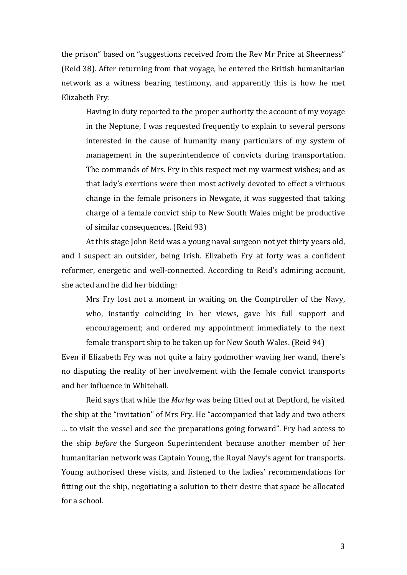the prison" based on "suggestions received from the Rev Mr Price at Sheerness" (Reid 38). After returning from that voyage, he entered the British humanitarian network as a witness bearing testimony, and apparently this is how he met Elizabeth Fry:

Having in duty reported to the proper authority the account of my voyage in the Neptune, I was requested frequently to explain to several persons interested in the cause of humanity many particulars of my system of management in the superintendence of convicts during transportation. The commands of Mrs. Fry in this respect met my warmest wishes; and as that lady's exertions were then most actively devoted to effect a virtuous change in the female prisoners in Newgate, it was suggested that taking charge of a female convict ship to New South Wales might be productive of similar consequences. (Reid 93)

At this stage John Reid was a young naval surgeon not yet thirty years old, and I suspect an outsider, being Irish. Elizabeth Fry at forty was a confident reformer, energetic and well-connected. According to Reid's admiring account, she acted and he did her bidding:

Mrs Fry lost not a moment in waiting on the Comptroller of the Navy, who, instantly coinciding in her views, gave his full support and encouragement; and ordered my appointment immediately to the next female transport ship to be taken up for New South Wales. (Reid 94)

Even if Elizabeth Fry was not quite a fairy godmother waving her wand, there's no disputing the reality of her involvement with the female convict transports and her influence in Whitehall.

Reid says that while the *Morley* was being fitted out at Deptford, he visited the ship at the "invitation" of Mrs Fry. He "accompanied that lady and two others ... to visit the vessel and see the preparations going forward". Fry had access to the ship *before* the Surgeon Superintendent because another member of her humanitarian network was Captain Young, the Royal Navy's agent for transports. Young authorised these visits, and listened to the ladies' recommendations for fitting out the ship, negotiating a solution to their desire that space be allocated for a school.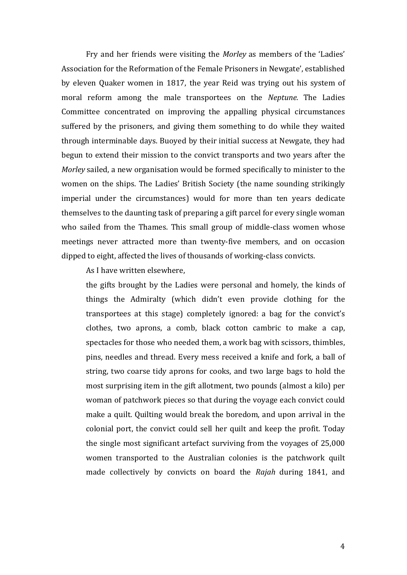Fry and her friends were visiting the *Morley* as members of the 'Ladies' Association for the Reformation of the Female Prisoners in Newgate', established by eleven Quaker women in 1817, the year Reid was trying out his system of moral reform among the male transportees on the *Neptune*. The Ladies Committee concentrated on improving the appalling physical circumstances suffered by the prisoners, and giving them something to do while they waited through interminable days. Buoyed by their initial success at Newgate, they had begun to extend their mission to the convict transports and two years after the *Morley* sailed, a new organisation would be formed specifically to minister to the women on the ships. The Ladies' British Society (the name sounding strikingly imperial under the circumstances) would for more than ten years dedicate themselves to the daunting task of preparing a gift parcel for every single woman who sailed from the Thames. This small group of middle-class women whose meetings never attracted more than twenty-five members, and on occasion dipped to eight, affected the lives of thousands of working-class convicts.

As I have written elsewhere,

the gifts brought by the Ladies were personal and homely, the kinds of things the Admiralty (which didn't even provide clothing for the transportees at this stage) completely ignored: a bag for the convict's clothes, two aprons, a comb, black cotton cambric to make a cap, spectacles for those who needed them, a work bag with scissors, thimbles, pins, needles and thread. Every mess received a knife and fork, a ball of string, two coarse tidy aprons for cooks, and two large bags to hold the most surprising item in the gift allotment, two pounds (almost a kilo) per woman of patchwork pieces so that during the voyage each convict could make a quilt. Quilting would break the boredom, and upon arrival in the colonial port, the convict could sell her quilt and keep the profit. Today the single most significant artefact surviving from the voyages of  $25,000$ women transported to the Australian colonies is the patchwork quilt made collectively by convicts on board the *Rajah* during 1841, and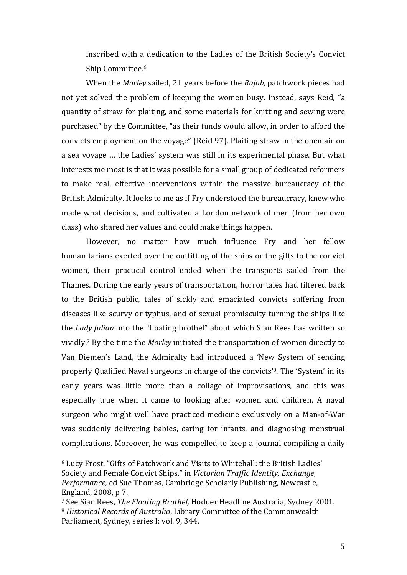inscribed with a dedication to the Ladies of the British Society's Convict Ship Committee.<sup>6</sup>

When the *Morley* sailed, 21 years before the *Rajah*, patchwork pieces had not yet solved the problem of keeping the women busy. Instead, says Reid, "a quantity of straw for plaiting, and some materials for knitting and sewing were purchased" by the Committee, "as their funds would allow, in order to afford the convicts employment on the voyage" (Reid 97). Plaiting straw in the open air on a sea voyage ... the Ladies' system was still in its experimental phase. But what interests me most is that it was possible for a small group of dedicated reformers to make real, effective interventions within the massive bureaucracy of the British Admiralty. It looks to me as if Fry understood the bureaucracy, knew who made what decisions, and cultivated a London network of men (from her own class) who shared her values and could make things happen.

However, no matter how much influence Fry and her fellow humanitarians exerted over the outfitting of the ships or the gifts to the convict women, their practical control ended when the transports sailed from the Thames. During the early years of transportation, horror tales had filtered back to the British public, tales of sickly and emaciated convicts suffering from diseases like scurvy or typhus, and of sexual promiscuity turning the ships like the *Lady Julian* into the "floating brothel" about which Sian Rees has written so vividly.<sup>7</sup> By the time the *Morley* initiated the transportation of women directly to Van Diemen's Land, the Admiralty had introduced a 'New System of sending properly Qualified Naval surgeons in charge of the convicts'<sup>8</sup>. The 'System' in its early years was little more than a collage of improvisations, and this was especially true when it came to looking after women and children. A naval surgeon who might well have practiced medicine exclusively on a Man-of-War was suddenly delivering babies, caring for infants, and diagnosing menstrual complications. Moreover, he was compelled to keep a journal compiling a daily

 

<sup>&</sup>lt;sup>6</sup> Lucy Frost, "Gifts of Patchwork and Visits to Whitehall: the British Ladies' Society and Female Convict Ships," in *Victorian Traffic Identity, Exchange, Performance*, ed Sue Thomas, Cambridge Scholarly Publishing, Newcastle, England, 2008, p 7.

<sup>&</sup>lt;sup>7</sup> See Sian Rees, *The Floating Brothel*, Hodder Headline Australia, Sydney 2001. <sup>8</sup> *Historical Records of Australia*, Library Committee of the Commonwealth Parliament, Sydney, series I: vol. 9, 344.